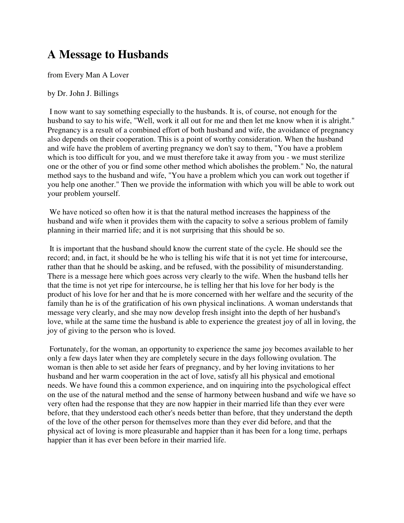## **A Message to Husbands**

from Every Man A Lover

by Dr. John J. Billings

 I now want to say something especially to the husbands. It is, of course, not enough for the husband to say to his wife, "Well, work it all out for me and then let me know when it is alright." Pregnancy is a result of a combined effort of both husband and wife, the avoidance of pregnancy also depends on their cooperation. This is a point of worthy consideration. When the husband and wife have the problem of averting pregnancy we don't say to them, "You have a problem which is too difficult for you, and we must therefore take it away from you - we must sterilize one or the other of you or find some other method which abolishes the problem." No, the natural method says to the husband and wife, "You have a problem which you can work out together if you help one another." Then we provide the information with which you will be able to work out your problem yourself.

 We have noticed so often how it is that the natural method increases the happiness of the husband and wife when it provides them with the capacity to solve a serious problem of family planning in their married life; and it is not surprising that this should be so.

 It is important that the husband should know the current state of the cycle. He should see the record; and, in fact, it should be he who is telling his wife that it is not yet time for intercourse, rather than that he should be asking, and be refused, with the possibility of misunderstanding. There is a message here which goes across very clearly to the wife. When the husband tells her that the time is not yet ripe for intercourse, he is telling her that his love for her body is the product of his love for her and that he is more concerned with her welfare and the security of the family than he is of the gratification of his own physical inclinations. A woman understands that message very clearly, and she may now develop fresh insight into the depth of her husband's love, while at the same time the husband is able to experience the greatest joy of all in loving, the joy of giving to the person who is loved.

 Fortunately, for the woman, an opportunity to experience the same joy becomes available to her only a few days later when they are completely secure in the days following ovulation. The woman is then able to set aside her fears of pregnancy, and by her loving invitations to her husband and her warm cooperation in the act of love, satisfy all his physical and emotional needs. We have found this a common experience, and on inquiring into the psychological effect on the use of the natural method and the sense of harmony between husband and wife we have so very often had the response that they are now happier in their married life than they ever were before, that they understood each other's needs better than before, that they understand the depth of the love of the other person for themselves more than they ever did before, and that the physical act of loving is more pleasurable and happier than it has been for a long time, perhaps happier than it has ever been before in their married life.